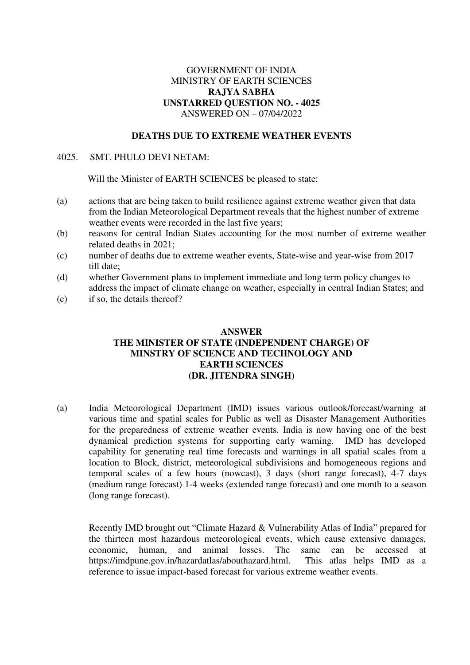# GOVERNMENT OF INDIA MINISTRY OF EARTH SCIENCES **RAJYA SABHA UNSTARRED QUESTION NO. - 4025**  ANSWERED ON – 07/04/2022

# **DEATHS DUE TO EXTREME WEATHER EVENTS**

#### 4025. SMT. PHULO DEVI NETAM:

Will the Minister of EARTH SCIENCES be pleased to state:

- (a) actions that are being taken to build resilience against extreme weather given that data from the Indian Meteorological Department reveals that the highest number of extreme weather events were recorded in the last five years;
- (b) reasons for central Indian States accounting for the most number of extreme weather related deaths in 2021;
- (c) number of deaths due to extreme weather events, State-wise and year-wise from 2017 till date;
- (d) whether Government plans to implement immediate and long term policy changes to address the impact of climate change on weather, especially in central Indian States; and
- (e) if so, the details thereof?

# **ANSWER THE MINISTER OF STATE (INDEPENDENT CHARGE) OF MINSTRY OF SCIENCE AND TECHNOLOGY AND EARTH SCIENCES (DR. JITENDRA SINGH)**

(a) India Meteorological Department (IMD) issues various outlook/forecast/warning at various time and spatial scales for Public as well as Disaster Management Authorities for the preparedness of extreme weather events. India is now having one of the best dynamical prediction systems for supporting early warning. IMD has developed capability for generating real time forecasts and warnings in all spatial scales from a location to Block, district, meteorological subdivisions and homogeneous regions and temporal scales of a few hours (nowcast), 3 days (short range forecast), 4-7 days (medium range forecast) 1-4 weeks (extended range forecast) and one month to a season (long range forecast).

Recently IMD brought out "Climate Hazard & Vulnerability Atlas of India" prepared for the thirteen most hazardous meteorological events, which cause extensive damages, economic, human, and animal losses. The same can be accessed at https://imdpune.gov.in/hazardatlas/abouthazard.html. This atlas helps IMD as a reference to issue impact-based forecast for various extreme weather events.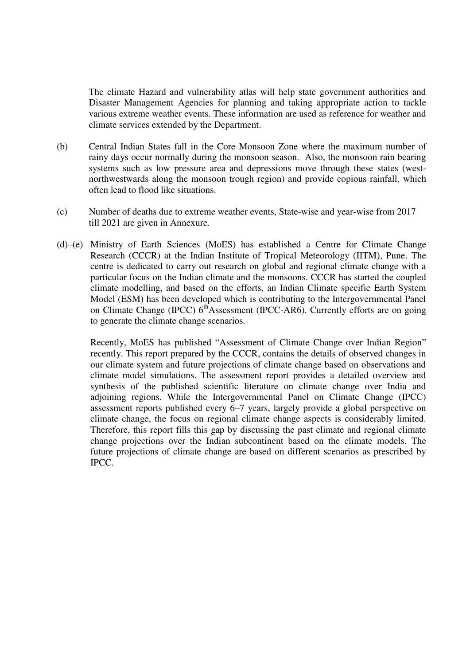The climate Hazard and vulnerability atlas will help state government authorities and Disaster Management Agencies for planning and taking appropriate action to tackle various extreme weather events. These information are used as reference for weather and climate services extended by the Department.

- (b) Central Indian States fall in the Core Monsoon Zone where the maximum number of rainy days occur normally during the monsoon season. Also, the monsoon rain bearing systems such as low pressure area and depressions move through these states (westnorthwestwards along the monsoon trough region) and provide copious rainfall, which often lead to flood like situations.
- (c) Number of deaths due to extreme weather events, State-wise and year-wise from 2017 till 2021 are given in Annexure.
- (d)–(e) Ministry of Earth Sciences (MoES) has established a Centre for Climate Change Research (CCCR) at the Indian Institute of Tropical Meteorology (IITM), Pune. The centre is dedicated to carry out research on global and regional climate change with a particular focus on the Indian climate and the monsoons. CCCR has started the coupled climate modelling, and based on the efforts, an Indian Climate specific Earth System Model (ESM) has been developed which is contributing to the Intergovernmental Panel on Climate Change (IPCC)  $6<sup>th</sup>$ Assessment (IPCC-AR6). Currently efforts are on going to generate the climate change scenarios.

Recently, MoES has published "Assessment of Climate Change over Indian Region" recently. This report prepared by the CCCR, contains the details of observed changes in our climate system and future projections of climate change based on observations and climate model simulations. The assessment report provides a detailed overview and synthesis of the published scientific literature on climate change over India and adjoining regions. While the Intergovernmental Panel on Climate Change (IPCC) assessment reports published every 6–7 years, largely provide a global perspective on climate change, the focus on regional climate change aspects is considerably limited. Therefore, this report fills this gap by discussing the past climate and regional climate change projections over the Indian subcontinent based on the climate models. The future projections of climate change are based on different scenarios as prescribed by IPCC.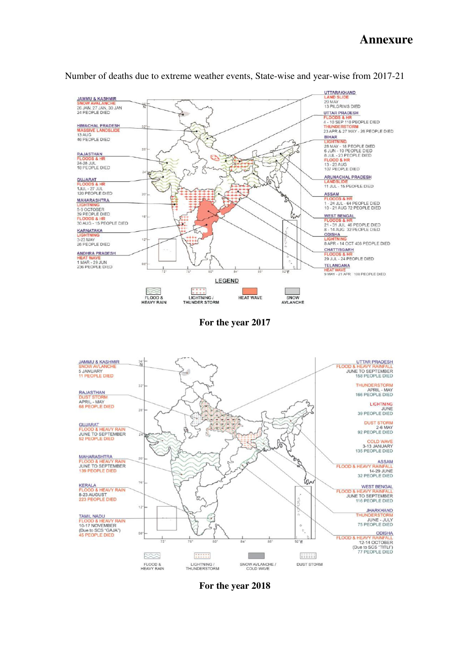# **Annexure**



Number of deaths due to extreme weather events, State-wise and year-wise from 2017-21

**For the year 2018**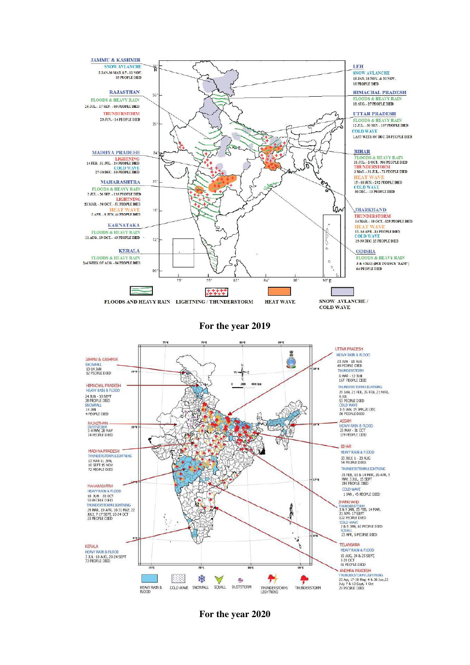

**For the year 2020**